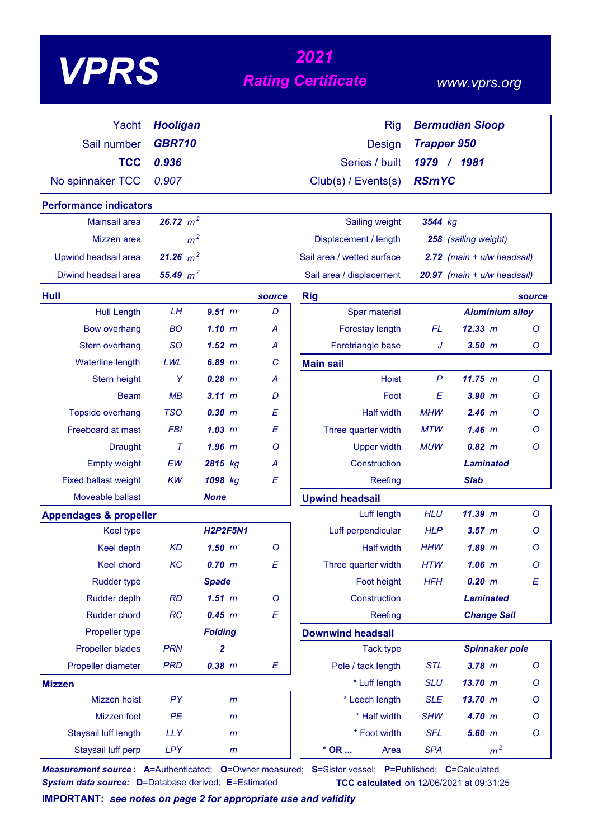| VP |
|----|
|----|

# *<sup>2021</sup> VPRS Rating Certificate*

### *www.vprs.org*

| Yacht                             | <b>Hooligan</b> |                 |         | <b>Rig</b>                 |                    | <b>Bermudian Sloop</b>      |         |  |
|-----------------------------------|-----------------|-----------------|---------|----------------------------|--------------------|-----------------------------|---------|--|
| Sail number                       | <b>GBR710</b>   |                 |         | Design                     | <b>Trapper 950</b> |                             |         |  |
| <b>TCC</b>                        | 0.936           |                 |         | Series / built             |                    | 1979 / 1981                 |         |  |
|                                   |                 |                 |         |                            | <b>RSrnYC</b>      |                             |         |  |
| No spinnaker TCC                  | 0.907           |                 |         | Club(s) / Events(s)        |                    |                             |         |  |
| <b>Performance indicators</b>     |                 |                 |         |                            |                    |                             |         |  |
| Mainsail area                     | 26.72 $m^2$     |                 |         | Sailing weight             | 3544 kg            |                             |         |  |
| Mizzen area                       | m <sup>2</sup>  |                 |         | Displacement / length      |                    | 258 (sailing weight)        |         |  |
| Upwind headsail area              | 21.26 $m^2$     |                 |         | Sail area / wetted surface |                    | 2.72 (main + u/w headsail)  |         |  |
| D/wind headsail area              | 55.49 $m^2$     |                 |         | Sail area / displacement   |                    | 20.97 (main + u/w headsail) |         |  |
| Hull                              |                 |                 | source  | <b>Rig</b>                 |                    |                             | source  |  |
| <b>Hull Length</b>                | LH              | 9.51 m          | D       | Spar material              |                    | <b>Aluminium alloy</b>      |         |  |
| <b>Bow overhang</b>               | <b>BO</b>       | 1.10 m          | A       | Forestay length            | <b>FL</b>          | 12.33 m                     | $\circ$ |  |
| Stern overhang                    | <b>SO</b>       | 1.52~m          | A       | Foretriangle base          | J                  | $3.50$ $m$                  | O       |  |
| <b>Waterline length</b>           | <b>LWL</b>      | $6.89$ $m$      | C       | <b>Main sail</b>           |                    |                             |         |  |
| Stern height                      | Y               | $0.28$ $m$      | A       | <b>Hoist</b>               | $\mathsf{P}$       | 11.75 m                     | $\circ$ |  |
| <b>Beam</b>                       | MB              | 3.11 m          | D       | Foot                       | E                  | $3.90$ $m$                  | Ο       |  |
| <b>Topside overhang</b>           | <b>TSO</b>      | 0.30 m          | E       | <b>Half width</b>          | <b>MHW</b>         | $2.46$ m                    | O       |  |
| Freeboard at mast                 | <b>FBI</b>      | 1.03~m          | E       | Three quarter width        | <b>MTW</b>         | $1.46$ m                    | O       |  |
| <b>Draught</b>                    | $\tau$          | $1.96$ $m$      | Ο       | <b>Upper width</b>         | <b>MUW</b>         | $0.82 \, m$                 | Ο       |  |
| <b>Empty weight</b>               | <b>EW</b>       | 2815 kg         | A       | Construction               |                    | <b>Laminated</b>            |         |  |
| <b>Fixed ballast weight</b>       | <b>KW</b>       | 1098 kg         | E       | Reefing                    |                    | <b>Slab</b>                 |         |  |
| Moveable ballast                  |                 | <b>None</b>     |         | <b>Upwind headsail</b>     |                    |                             |         |  |
| <b>Appendages &amp; propeller</b> |                 |                 |         | Luff length                | <b>HLU</b>         | 11.39 m                     | $\circ$ |  |
| <b>Keel type</b>                  |                 | <b>H2P2F5N1</b> |         | Luff perpendicular         | <b>HLP</b>         | $3.57$ $m$                  | O       |  |
| <b>Keel depth</b>                 | <b>KD</b>       | $1.50$ $m$      | $\circ$ | <b>Half width</b>          | <b>HHW</b>         | $1.89$ $m$                  | O       |  |
| Keel chord                        | KC              | 0.70 m          | E       | Three quarter width        | <b>HTW</b>         | $1.06$ $m$                  | $\circ$ |  |
| <b>Rudder type</b>                |                 | <b>Spade</b>    |         | Foot height                | <b>HFH</b>         | 0.20 m                      | E       |  |
| <b>Rudder depth</b>               | RD              | $1.51$ m        | O       | Construction               |                    | <b>Laminated</b>            |         |  |
| <b>Rudder chord</b>               | RC              | 0.45 m          | E       | Reefing                    |                    | <b>Change Sail</b>          |         |  |
| Propeller type                    |                 | <b>Folding</b>  |         | <b>Downwind headsail</b>   |                    |                             |         |  |
| <b>Propeller blades</b>           | <b>PRN</b>      | 2               |         | <b>Tack type</b>           |                    | <b>Spinnaker pole</b>       |         |  |
| Propeller diameter                | <b>PRD</b>      | $0.38$ $m$      | E       | Pole / tack length         | <b>STL</b>         | $3.78$ m                    | O       |  |
| <b>Mizzen</b>                     |                 |                 |         | * Luff length              | <b>SLU</b>         | 13.70 m                     | O       |  |
| Mizzen hoist                      | PY              | m               |         | * Leech length             | <b>SLE</b>         | 13.70 m                     | O       |  |
| Mizzen foot                       | PE              | $\mathsf{m}$    |         | * Half width               | <b>SHW</b>         | 4.70 m                      | O       |  |
| Staysail luff length              | <b>LLY</b>      | $\mathsf{m}$    |         | * Foot width               | <b>SFL</b>         | $5.60$ $m$                  | O       |  |
| Staysail luff perp                | <b>LPY</b>      | $\mathsf{m}$    |         | $*$ OR<br>Area             | <b>SPA</b>         | m <sup>2</sup>              |         |  |

*Measurement source* **: A**=Authenticated; **O**=Owner measured; **S**=Sister vessel; **P**=Published; **C**=Calculated *System data source:* **D**=Database derived; **E**=Estimated **TCC calculated** on 12/06/2021 at 09:31:25

**IMPORTANT:** *see notes on page 2 for appropriate use and validity*